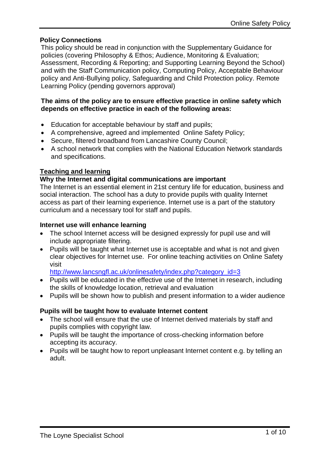# **Policy Connections**

This policy should be read in conjunction with the Supplementary Guidance for policies (covering Philosophy & Ethos; Audience, Monitoring & Evaluation; Assessment, Recording & Reporting; and Supporting Learning Beyond the School) and with the Staff Communication policy, Computing Policy, Acceptable Behaviour policy and Anti-Bullying policy, Safeguarding and Child Protection policy. Remote Learning Policy (pending governors approval)

#### **The aims of the policy are to ensure effective practice in online safety which depends on effective practice in each of the following areas:**

- Education for acceptable behaviour by staff and pupils;
- A comprehensive, agreed and implemented Online Safety Policy;
- Secure, filtered broadband from Lancashire County Council;
- A school network that complies with the National Education Network standards and specifications.

# **Teaching and learning**

# **Why the Internet and digital communications are important**

The Internet is an essential element in 21st century life for education, business and social interaction. The school has a duty to provide pupils with quality Internet access as part of their learning experience. Internet use is a part of the statutory curriculum and a necessary tool for staff and pupils.

# **Internet use will enhance learning**

- The school Internet access will be designed expressly for pupil use and will include appropriate filtering.
- Pupils will be taught what Internet use is acceptable and what is not and given clear objectives for Internet use. For online teaching activities on Online Safety visit

[http://www.lancsngfl.ac.uk/onlinesafety/index.php?category\\_id=3](http://www.lancsngfl.ac.uk/onlinesafety/index.php?category_id=3)

- Pupils will be educated in the effective use of the Internet in research, including the skills of knowledge location, retrieval and evaluation
- Pupils will be shown how to publish and present information to a wider audience

# **Pupils will be taught how to evaluate Internet content**

- The school will ensure that the use of Internet derived materials by staff and pupils complies with copyright law.
- Pupils will be taught the importance of cross-checking information before accepting its accuracy.
- Pupils will be taught how to report unpleasant Internet content e.g. by telling an adult.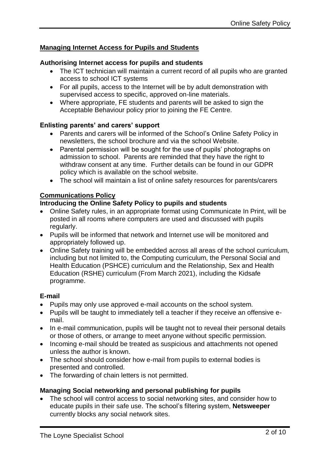# **Managing Internet Access for Pupils and Students**

#### **Authorising Internet access for pupils and students**

- The ICT technician will maintain a current record of all pupils who are granted access to school ICT systems
- For all pupils, access to the Internet will be by adult demonstration with supervised access to specific, approved on-line materials.
- Where appropriate, FE students and parents will be asked to sign the Acceptable Behaviour policy prior to joining the FE Centre.

# **Enlisting parents' and carers' support**

- Parents and carers will be informed of the School's Online Safety Policy in newsletters, the school brochure and via the school Website.
- Parental permission will be sought for the use of pupils' photographs on admission to school. Parents are reminded that they have the right to withdraw consent at any time. Further details can be found in our GDPR policy which is available on the school website.
- The school will maintain a list of online safety resources for parents/carers

#### **Communications Policy**

#### **Introducing the Online Safety Policy to pupils and students**

- Online Safety rules, in an appropriate format using Communicate In Print, will be posted in all rooms where computers are used and discussed with pupils regularly.
- Pupils will be informed that network and Internet use will be monitored and appropriately followed up.
- Online Safety training will be embedded across all areas of the school curriculum, including but not limited to, the Computing curriculum, the Personal Social and Health Education (PSHCE) curriculum and the Relationship, Sex and Health Education (RSHE) curriculum (From March 2021), including the Kidsafe programme.

# **E-mail**

- Pupils may only use approved e-mail accounts on the school system.
- Pupils will be taught to immediately tell a teacher if they receive an offensive email.
- In e-mail communication, pupils will be taught not to reveal their personal details or those of others, or arrange to meet anyone without specific permission.
- Incoming e-mail should be treated as suspicious and attachments not opened unless the author is known.
- The school should consider how e-mail from pupils to external bodies is presented and controlled.
- The forwarding of chain letters is not permitted.

# **Managing Social networking and personal publishing for pupils**

 The school will control access to social networking sites, and consider how to educate pupils in their safe use. The school's filtering system, **Netsweeper** currently blocks any social network sites.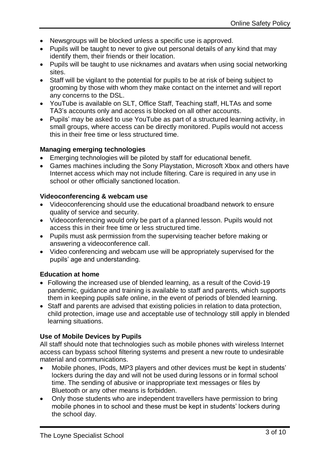- Newsgroups will be blocked unless a specific use is approved.
- Pupils will be taught to never to give out personal details of any kind that may identify them, their friends or their location.
- Pupils will be taught to use nicknames and avatars when using social networking sites.
- Staff will be vigilant to the potential for pupils to be at risk of being subject to grooming by those with whom they make contact on the internet and will report any concerns to the DSL.
- YouTube is available on SLT, Office Staff, Teaching staff, HLTAs and some TA3's accounts only and access is blocked on all other accounts.
- Pupils' may be asked to use YouTube as part of a structured learning activity, in small groups, where access can be directly monitored. Pupils would not access this in their free time or less structured time.

# **Managing emerging technologies**

- Emerging technologies will be piloted by staff for educational benefit.
- Games machines including the Sony Playstation, Microsoft Xbox and others have Internet access which may not include filtering. Care is required in any use in school or other officially sanctioned location.

# **Videoconferencing & webcam use**

- Videoconferencing should use the educational broadband network to ensure quality of service and security.
- Videoconferencing would only be part of a planned lesson. Pupils would not access this in their free time or less structured time.
- Pupils must ask permission from the supervising teacher before making or answering a videoconference call.
- Video conferencing and webcam use will be appropriately supervised for the pupils' age and understanding.

# **Education at home**

- Following the increased use of blended learning, as a result of the Covid-19 pandemic, guidance and training is available to staff and parents, which supports them in keeping pupils safe online, in the event of periods of blended learning.
- Staff and parents are advised that existing policies in relation to data protection, child protection, image use and acceptable use of technology still apply in blended learning situations.

# **Use of Mobile Devices by Pupils**

All staff should note that technologies such as mobile phones with wireless Internet access can bypass school filtering systems and present a new route to undesirable material and communications.

- Mobile phones, IPods, MP3 players and other devices must be kept in students' lockers during the day and will not be used during lessons or in formal school time. The sending of abusive or inappropriate text messages or files by Bluetooth or any other means is forbidden.
- Only those students who are independent travellers have permission to bring mobile phones in to school and these must be kept in students' lockers during the school day.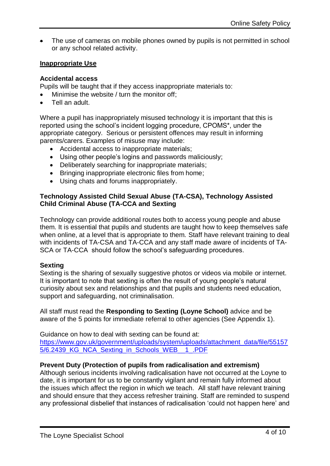The use of cameras on mobile phones owned by pupils is not permitted in school or any school related activity.

#### **Inappropriate Use**

#### **Accidental access**

Pupils will be taught that if they access inappropriate materials to:

- Minimise the website / turn the monitor off;
- Tell an adult.

Where a pupil has inappropriately misused technology it is important that this is reported using the school's incident logging procedure, CPOMS\*, under the appropriate category. Serious or persistent offences may result in informing parents/carers. Examples of misuse may include:

- Accidental access to inappropriate materials;
- Using other people's logins and passwords maliciously;
- Deliberately searching for inappropriate materials;
- Bringing inappropriate electronic files from home;
- Using chats and forums inappropriately.

#### **Technology Assisted Child Sexual Abuse (TA-CSA), Technology Assisted Child Criminal Abuse (TA-CCA and Sexting**

Technology can provide additional routes both to access young people and abuse them. It is essential that pupils and students are taught how to keep themselves safe when online, at a level that is appropriate to them. Staff have relevant training to deal with incidents of TA-CSA and TA-CCA and any staff made aware of incidents of TA-SCA or TA-CCA should follow the school's safeguarding procedures.

#### **Sexting**

Sexting is the sharing of sexually suggestive photos or videos via mobile or internet. It is important to note that sexting is often the result of young people's natural curiosity about sex and relationships and that pupils and students need education, support and safeguarding, not criminalisation.

All staff must read the **Responding to Sexting (Loyne School)** advice and be aware of the 5 points for immediate referral to other agencies (See Appendix 1).

Guidance on how to deal with sexting can be found at: [https://www.gov.uk/government/uploads/system/uploads/attachment\\_data/file/55157](https://www.gov.uk/government/uploads/system/uploads/attachment_data/file/551575/6.2439_KG_NCA_Sexting_in_Schools_WEB__1_.PDF) [5/6.2439\\_KG\\_NCA\\_Sexting\\_in\\_Schools\\_WEB\\_\\_1\\_.PDF](https://www.gov.uk/government/uploads/system/uploads/attachment_data/file/551575/6.2439_KG_NCA_Sexting_in_Schools_WEB__1_.PDF)

# **Prevent Duty (Protection of pupils from radicalisation and extremism)**

Although serious incidents involving radicalisation have not occurred at the Loyne to date, it is important for us to be constantly vigilant and remain fully informed about the issues which affect the region in which we teach. All staff have relevant training and should ensure that they access refresher training. Staff are reminded to suspend any professional disbelief that instances of radicalisation 'could not happen here' and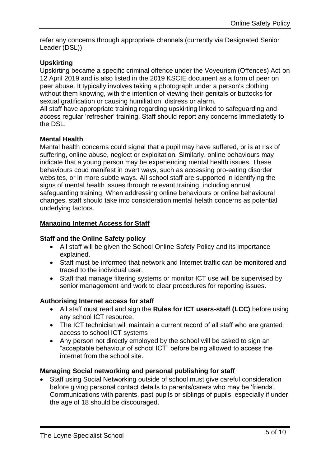refer any concerns through appropriate channels (currently via Designated Senior Leader (DSL)).

# **Upskirting**

Upskirting became a specific criminal offence under the Voyeurism (Offences) Act on 12 April 2019 and is also listed in the 2019 KSCIE document as a form of peer on peer abuse. It typically involves taking a photograph under a person's clothing without them knowing, with the intention of viewing their genitals or buttocks for sexual gratification or causing humiliation, distress or alarm.

All staff have appropriate training regarding upskirting linked to safeguarding and access regular 'refresher' training. Staff should report any concerns immediatetly to the DSL.

# **Mental Health**

Mental health concerns could signal that a pupil may have suffered, or is at risk of suffering, online abuse, neglect or exploitation. Similarly, online behaviours may indicate that a young person may be experiencing mental health issues. These behaviours coud manifest in overt ways, such as accessing pro-eating disorder websites, or in more subtle ways. All school staff are supported in identifying the signs of mental health issues through relevant training, including annual safeguarding training. When addressing online behaviours or online behavioural changes, staff should take into consideration mental helath concerns as potential underlying factors.

# **Managing Internet Access for Staff**

#### **Staff and the Online Safety policy**

- All staff will be given the School Online Safety Policy and its importance explained.
- Staff must be informed that network and Internet traffic can be monitored and traced to the individual user.
- Staff that manage filtering systems or monitor ICT use will be supervised by senior management and work to clear procedures for reporting issues.

# **Authorising Internet access for staff**

- All staff must read and sign the **Rules for ICT users-staff (LCC)** before using any school ICT resource.
- The ICT technician will maintain a current record of all staff who are granted access to school ICT systems
- Any person not directly employed by the school will be asked to sign an "acceptable behaviour of school ICT" before being allowed to access the internet from the school site.

# **Managing Social networking and personal publishing for staff**

 Staff using Social Networking outside of school must give careful consideration before giving personal contact details to parents/carers who may be 'friends'. Communications with parents, past pupils or siblings of pupils, especially if under the age of 18 should be discouraged.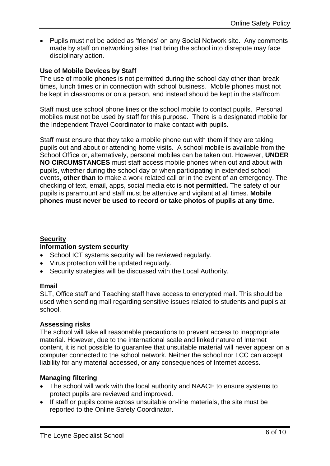• Pupils must not be added as 'friends' on any Social Network site. Any comments made by staff on networking sites that bring the school into disrepute may face disciplinary action.

# **Use of Mobile Devices by Staff**

The use of mobile phones is not permitted during the school day other than break times, lunch times or in connection with school business. Mobile phones must not be kept in classrooms or on a person, and instead should be kept in the staffroom

Staff must use school phone lines or the school mobile to contact pupils. Personal mobiles must not be used by staff for this purpose. There is a designated mobile for the Independent Travel Coordinator to make contact with pupils.

Staff must ensure that they take a mobile phone out with them if they are taking pupils out and about or attending home visits. A school mobile is available from the School Office or, alternatively, personal mobiles can be taken out. However, **UNDER NO CIRCUMSTANCES** must staff access mobile phones when out and about with pupils, whether during the school day or when participating in extended school events, **other than** to make a work related call or in the event of an emergency. The checking of text, email, apps, social media etc is **not permitted.** The safety of our pupils is paramount and staff must be attentive and vigilant at all times. **Mobile phones must never be used to record or take photos of pupils at any time.**

# **Security**

#### **Information system security**

- School ICT systems security will be reviewed regularly.
- Virus protection will be updated regularly.
- Security strategies will be discussed with the Local Authority.

# **Email**

SLT, Office staff and Teaching staff have access to encrypted mail. This should be used when sending mail regarding sensitive issues related to students and pupils at school.

# **Assessing risks**

The school will take all reasonable precautions to prevent access to inappropriate material. However, due to the international scale and linked nature of Internet content, it is not possible to guarantee that unsuitable material will never appear on a computer connected to the school network. Neither the school nor LCC can accept liability for any material accessed, or any consequences of Internet access.

# **Managing filtering**

- The school will work with the local authority and NAACE to ensure systems to protect pupils are reviewed and improved.
- If staff or pupils come across unsuitable on-line materials, the site must be reported to the Online Safety Coordinator.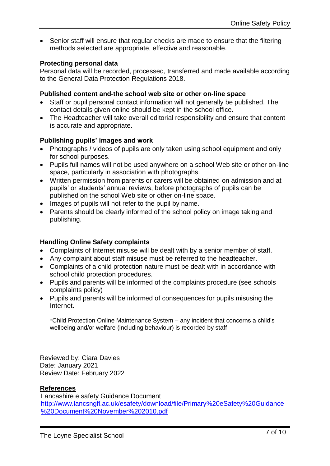Senior staff will ensure that regular checks are made to ensure that the filtering methods selected are appropriate, effective and reasonable.

# **Protecting personal data**

Personal data will be recorded, processed, transferred and made available according to the General Data Protection Regulations 2018.

#### **Published content and the school web site or other on-line space**

- Staff or pupil personal contact information will not generally be published. The contact details given online should be kept in the school office.
- The Headteacher will take overall editorial responsibility and ensure that content is accurate and appropriate.

# **Publishing pupils' images and work**

- Photographs / videos of pupils are only taken using school equipment and only for school purposes.
- Pupils full names will not be used anywhere on a school Web site or other on-line space, particularly in association with photographs.
- Written permission from parents or carers will be obtained on admission and at pupils' or students' annual reviews, before photographs of pupils can be published on the school Web site or other on-line space.
- Images of pupils will not refer to the pupil by name.
- Parents should be clearly informed of the school policy on image taking and publishing.

# **Handling Online Safety complaints**

- Complaints of Internet misuse will be dealt with by a senior member of staff.
- Any complaint about staff misuse must be referred to the headteacher.
- Complaints of a child protection nature must be dealt with in accordance with school child protection procedures.
- Pupils and parents will be informed of the complaints procedure (see schools complaints policy)
- Pupils and parents will be informed of consequences for pupils misusing the Internet.

\*Child Protection Online Maintenance System – any incident that concerns a child's wellbeing and/or welfare (including behaviour) is recorded by staff

Reviewed by: Ciara Davies Date: January 2021 Review Date: February 2022

# **References**

Lancashire e safety Guidance Document [http://www.lancsngfl.ac.uk/esafety/download/file/Primary%20eSafety%20Guidance](http://www.lancsngfl.ac.uk/esafety/download/file/Primary%20eSafety%20Guidance%20Document%20November%202010.pdf) [%20Document%20November%202010.pdf](http://www.lancsngfl.ac.uk/esafety/download/file/Primary%20eSafety%20Guidance%20Document%20November%202010.pdf)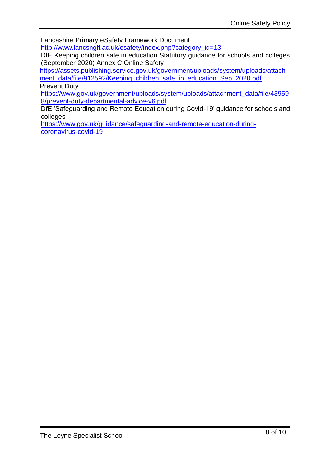Lancashire Primary eSafety Framework Document

[http://www.lancsngfl.ac.uk/esafety/index.php?category\\_id=13](http://www.lancsngfl.ac.uk/esafety/index.php?category_id=13) DfE Keeping children safe in education Statutory guidance for schools and colleges

(September 2020) Annex C Online Safety

[https://assets.publishing.service.gov.uk/government/uploads/system/uploads/attach](https://assets.publishing.service.gov.uk/government/uploads/system/uploads/attachment_data/file/912592/Keeping_children_safe_in_education_Sep_2020.pdf) [ment\\_data/file/912592/Keeping\\_children\\_safe\\_in\\_education\\_Sep\\_2020.pdf](https://assets.publishing.service.gov.uk/government/uploads/system/uploads/attachment_data/file/912592/Keeping_children_safe_in_education_Sep_2020.pdf) Prevent Duty

[https://www.gov.uk/government/uploads/system/uploads/attachment\\_data/file/43959](https://www.gov.uk/government/uploads/system/uploads/attachment_data/file/439598/prevent-duty-departmental-advice-v6.pdf) [8/prevent-duty-departmental-advice-v6.pdf](https://www.gov.uk/government/uploads/system/uploads/attachment_data/file/439598/prevent-duty-departmental-advice-v6.pdf)

DfE 'Safeguarding and Remote Education during Covid-19' guidance for schools and colleges

[https://www.gov.uk/guidance/safeguarding-and-remote-education-during](https://www.gov.uk/guidance/safeguarding-and-remote-education-during-coronavirus-covid-19)[coronavirus-covid-19](https://www.gov.uk/guidance/safeguarding-and-remote-education-during-coronavirus-covid-19)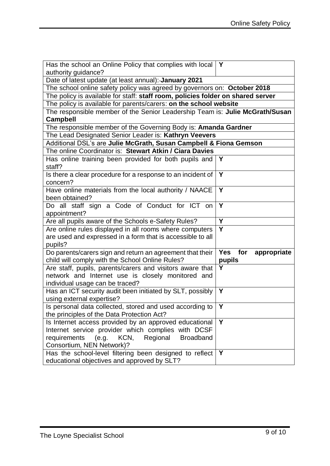| Has the school an Online Policy that complies with local $\mathsf Y$                            |                                  |
|-------------------------------------------------------------------------------------------------|----------------------------------|
| authority guidance?                                                                             |                                  |
| Date of latest update (at least annual): January 2021                                           |                                  |
| The school online safety policy was agreed by governors on: October 2018                        |                                  |
| The policy is available for staff: staff room, policies folder on shared server                 |                                  |
| The policy is available for parents/carers: on the school website                               |                                  |
| The responsible member of the Senior Leadership Team is: Julie McGrath/Susan<br><b>Campbell</b> |                                  |
| The responsible member of the Governing Body is: Amanda Gardner                                 |                                  |
| The Lead Designated Senior Leader is: Kathryn Veevers                                           |                                  |
| Additional DSL's are Julie McGrath, Susan Campbell & Fiona Gemson                               |                                  |
| The online Coordinator is: Stewart Atkin / Ciara Davies                                         |                                  |
| Has online training been provided for both pupils and                                           | $\mathsf{Y}$                     |
| staff?                                                                                          |                                  |
| Is there a clear procedure for a response to an incident of $\vert$ Y                           |                                  |
| concern?                                                                                        |                                  |
| Have online materials from the local authority / NAACE                                          | Y                                |
| been obtained?                                                                                  |                                  |
| Do all staff sign a Code of Conduct for ICT on                                                  | Y                                |
| appointment?                                                                                    |                                  |
| Are all pupils aware of the Schools e-Safety Rules?                                             | Y                                |
| Are online rules displayed in all rooms where computers                                         | $\overline{\mathsf{Y}}$          |
| are used and expressed in a form that is accessible to all                                      |                                  |
| pupils?                                                                                         |                                  |
| Do parents/carers sign and return an agreement that their                                       | <b>Yes</b><br>for<br>appropriate |
| child will comply with the School Online Rules?                                                 | pupils                           |
| Are staff, pupils, parents/carers and visitors aware that                                       | Y                                |
| network and Internet use is closely monitored and                                               |                                  |
| individual usage can be traced?                                                                 |                                  |
| Has an ICT security audit been initiated by SLT, possibly                                       | $\mathbf Y$                      |
| using external expertise?                                                                       |                                  |
| Is personal data collected, stored and used according to                                        | $\mathbf{Y}$                     |
| the principles of the Data Protection Act?                                                      |                                  |
| Is Internet access provided by an approved educational                                          | Y                                |
| Internet service provider which complies with DCSF                                              |                                  |
| requirements<br>(e.g.<br>KCN,<br>Regional<br><b>Broadband</b>                                   |                                  |
| Consortium, NEN Network)?                                                                       |                                  |
| Has the school-level filtering been designed to reflect                                         | Y                                |
| educational objectives and approved by SLT?                                                     |                                  |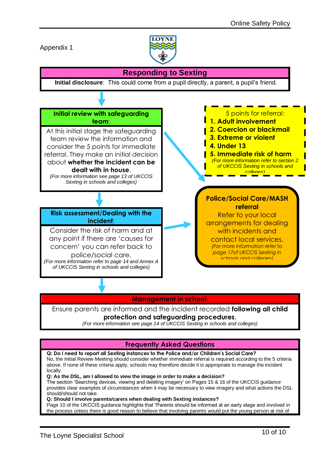Appendix 1



#### **Responding to Sexting Initial disclosure**: This could come from a pupil directly, a parent, a pupil's friend. **Initial review with safeguarding team**: At this initial stage the safeguarding team review the information and consider the 5 points for immediate referral. They make an initial decision about **whether the incident can be dealt with in house**. *(For more information see page 13 of UKCCIS Sexting in schools and colleges)* **Risk assessment/Dealing with the incident**: Consider the risk of harm and at any point if there are 'causes for concern' you can refer back to police/social care. *(For more information refer to page 14 and Annex A of UKCCIS Sexting in schools and colleges)* 5 points for referral: **1. Adult involvement 2. Coercion or blackmail 3. Extreme or violent 4. Under 13 5. Immediate risk of harm**  *(For more information refer to section 2 of UKCCIS Sexting in schools and colleges)* **Police/Social Care/MASH referral** Refer to your local arrangements for dealing with incidents and contact local services. *(For more information refer to page 17of UKCCIS Sexting in schools and colleges)*

# **Management in school**:

Ensure parents are informed and the incident recorded **following all child** 

#### **protection and safeguarding procedures**.

*(For more information see page 14 of UKCCIS Sexting in schools and colleges)*

# **Frequently Asked Questions**

**Q: Do I need to report all Sexting instances to the Police and/or Children's Social Care?**  No, the Initial Review Meeting should consider whether immediate referral is required according to the 5 criteria above. If none of these criteria apply, schools may therefore decide it is appropriate to manage the incident locally.

#### **Q: As the DSL, am I allowed to view the image in order to make a decision?**

The section 'Searching devices, viewing and deleting imagery' on Pages 15 & 16 of the UKCCIS guidance provides clear examples of circumstances when it may be necessary to view imagery and what actions the DSL should/should not take.

**Q: Should I involve parents/carers when dealing with Sexting instances?**

Page 10 of the UKCCIS guidance highlights that "Parents should be informed at an early stage and involved in the process unless there is good reason to believe that involving parents would put the young person at risk of